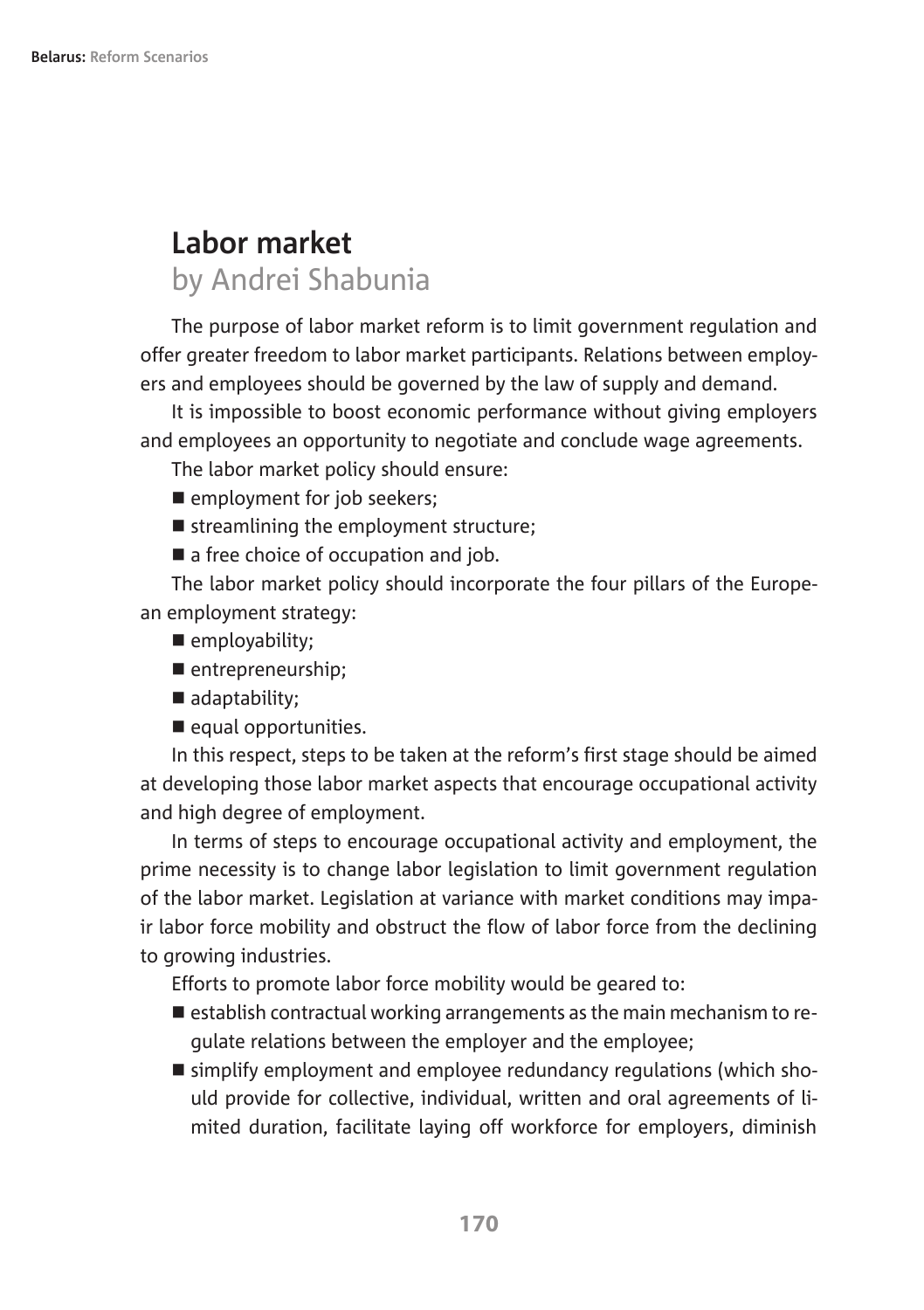# **Labor market** by Andrei Shabunia

The purpose of labor market reform is to limit government regulation and offer greater freedom to labor market participants. Relations between employers and employees should be governed by the law of supply and demand.

It is impossible to boost economic performance without giving employers and employees an opportunity to negotiate and conclude wage agreements.

The labor market policy should ensure:

- **n** employment for job seekers;
- $\blacksquare$  streamlining the employment structure:
- $\blacksquare$  a free choice of occupation and job.

The labor market policy should incorporate the four pillars of the European employment strategy:

- employability;
- $\blacksquare$  entrepreneurship;
- $\blacksquare$  adaptability:
- $\blacksquare$  equal opportunities.

In this respect, steps to be taken at the reform's first stage should be aimed at developing those labor market aspects that encourage occupational activity and high degree of employment.

In terms of steps to encourage occupational activity and employment, the prime necessity is to change labor legislation to limit government regulation of the labor market. Legislation at variance with market conditions may impair labor force mobility and obstruct the flow of labor force from the declining to growing industries.

Efforts to promote labor force mobility would be geared to:

- $\blacksquare$  establish contractual working arrangements as the main mechanism to regulate relations between the employer and the employee;
- simplify employment and employee redundancy regulations (which should provide for collective, individual, written and oral agreements of limited duration, facilitate laying off workforce for employers, diminish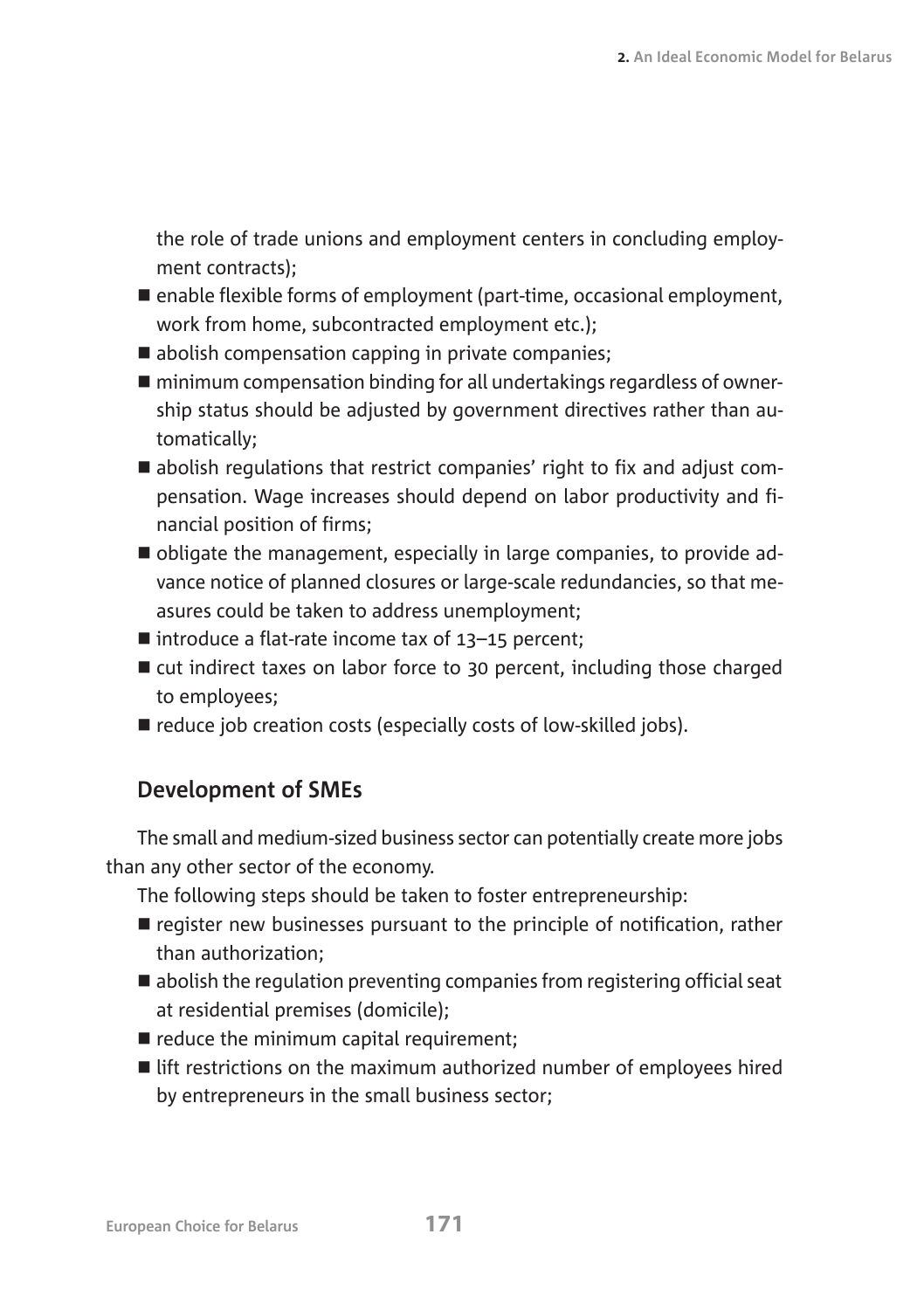the role of trade unions and employment centers in concluding employment contracts);

- $\blacksquare$  enable flexible forms of employment (part-time, occasional employment, work from home, subcontracted employment etc.);
- $\blacksquare$  abolish compensation capping in private companies;
- $\blacksquare$  minimum compensation binding for all undertakings regardless of ownership status should be adjusted by government directives rather than automatically;
- $\blacksquare$  abolish regulations that restrict companies' right to fix and adjust compensation. Wage increases should depend on labor productivity and financial position of firms;
- n obligate the management, especially in large companies, to provide advance notice of planned closures or large-scale redundancies, so that measures could be taken to address unemployment;
- $\blacksquare$  introduce a flat-rate income tax of 13-15 percent;
- $\blacksquare$  cut indirect taxes on labor force to 30 percent, including those charged to employees;
- $\blacksquare$  reduce job creation costs (especially costs of low-skilled jobs).

## **Development of SMEs**

The small and medium-sized business sector can potentially create more jobs than any other sector of the economy.

The following steps should be taken to foster entrepreneurship:

- $\blacksquare$  register new businesses pursuant to the principle of notification, rather than authorization;
- $\blacksquare$  abolish the regulation preventing companies from registering official seat at residential premises (domicile);
- $\blacksquare$  reduce the minimum capital requirement;
- $\blacksquare$  lift restrictions on the maximum authorized number of employees hired by entrepreneurs in the small business sector;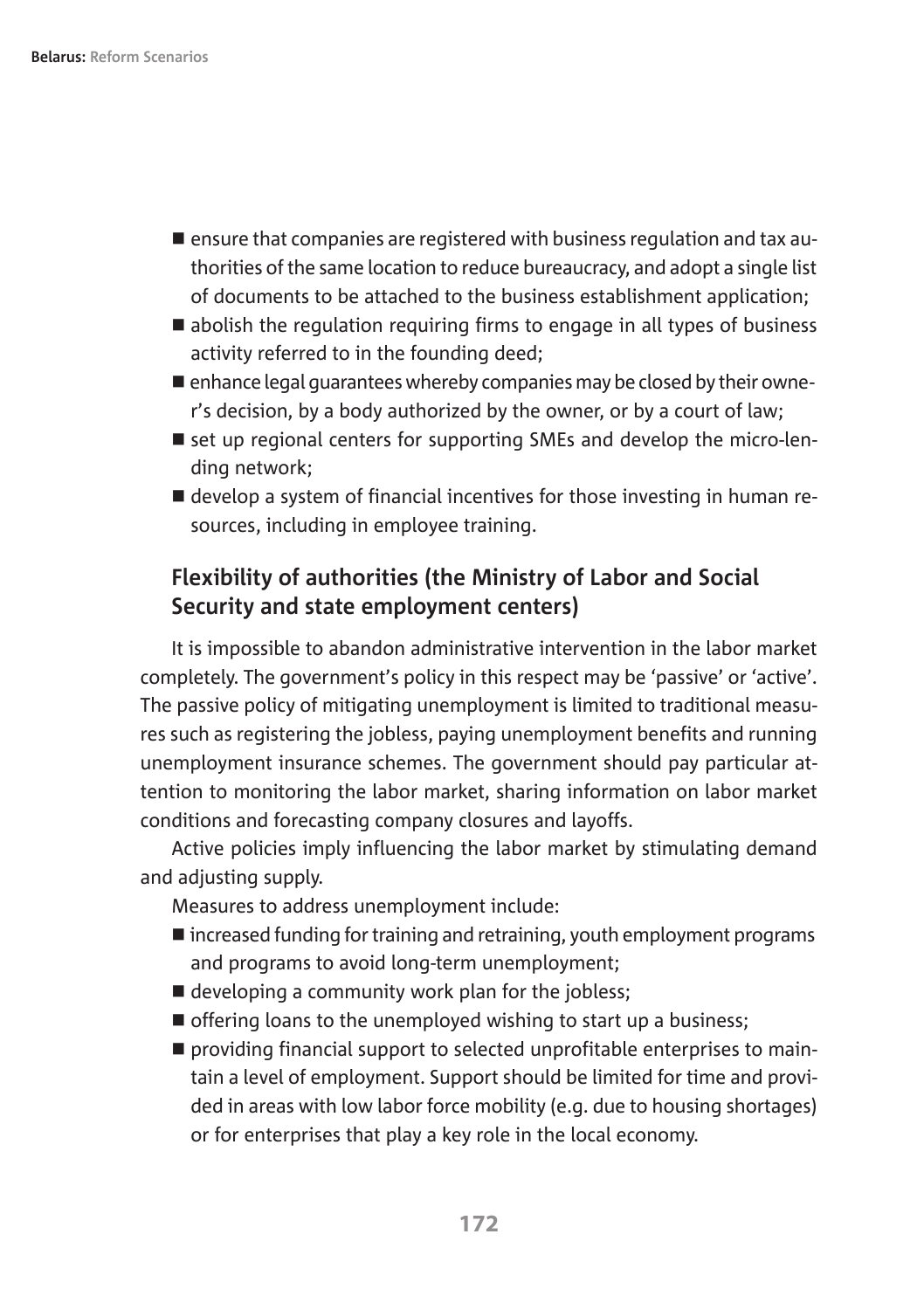- $\blacksquare$  ensure that companies are registered with business regulation and tax authorities of the same location to reduce bureaucracy, and adopt a single list of documents to be attached to the business establishment application;
- $\blacksquare$  abolish the regulation reguiring firms to engage in all types of business activity referred to in the founding deed;
- $\blacksquare$  enhance legal guarantees whereby companies may be closed by their owner's decision, by a body authorized by the owner, or by a court of law;
- $\blacksquare$  set up regional centers for supporting SMEs and develop the micro-lending network;
- develop a system of financial incentives for those investing in human resources, including in employee training.

### **Flexibility of authorities (the Ministry of Labor and Social Security and state employment centers)**

It is impossible to abandon administrative intervention in the labor market completely. The government's policy in this respect may be 'passive' or 'active'. The passive policy of mitigating unemployment is limited to traditional measures such as registering the jobless, paying unemployment benefits and running unemployment insurance schemes. The government should pay particular attention to monitoring the labor market, sharing information on labor market conditions and forecasting company closures and layoffs.

Active policies imply influencing the labor market by stimulating demand and adjusting supply.

Measures to address unemployment include:

- $\blacksquare$  increased funding for training and retraining, youth employment programs and programs to avoid long-term unemployment;
- $\blacksquare$  developing a community work plan for the jobless:
- $\blacksquare$  offering loans to the unemployed wishing to start up a business;
- $\blacksquare$  providing financial support to selected unprofitable enterprises to maintain a level of employment. Support should be limited for time and provided in areas with low labor force mobility (e.g. due to housing shortages) or for enterprises that play a key role in the local economy.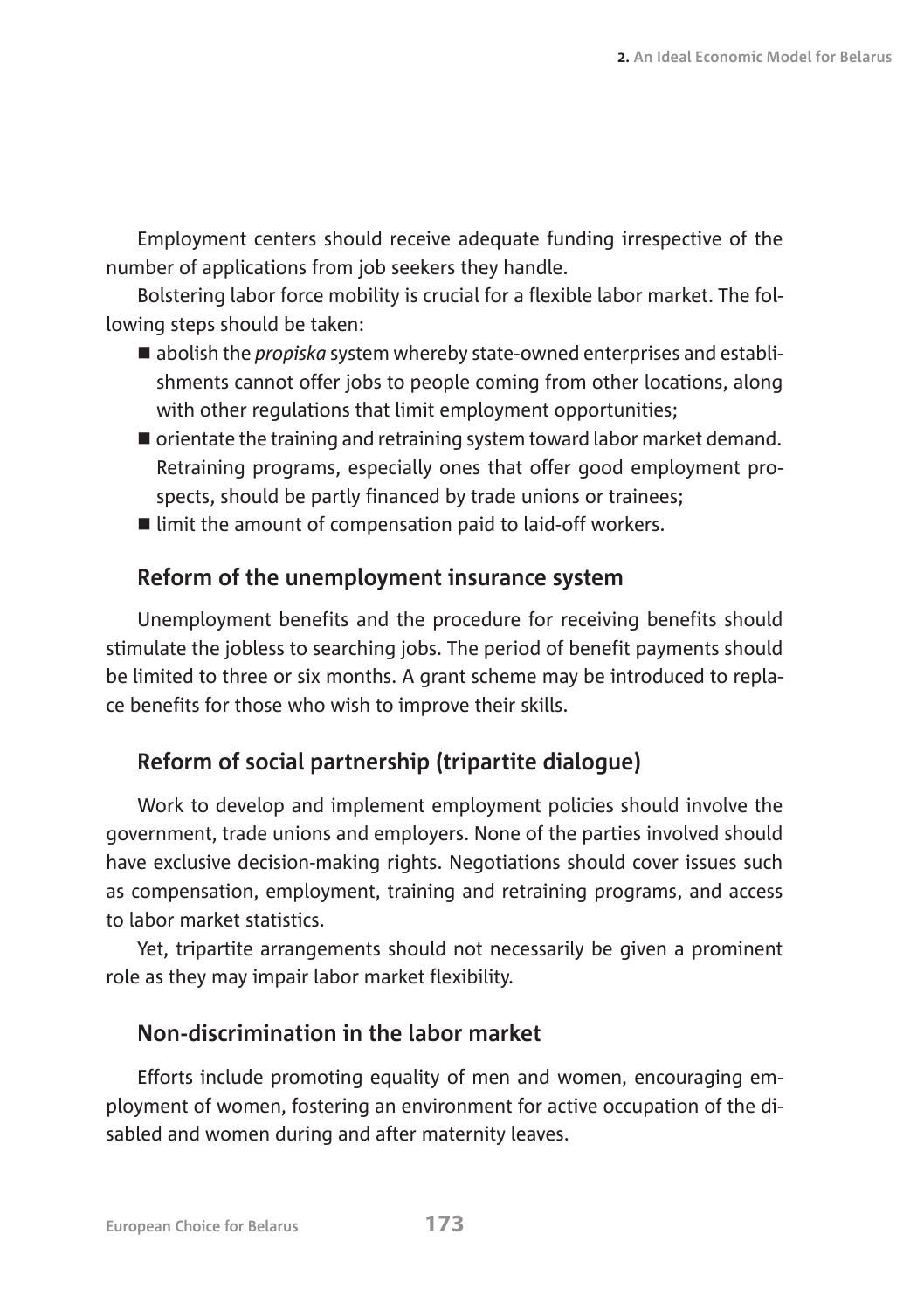Employment centers should receive adequate funding irrespective of the number of applications from job seekers they handle.

Bolstering labor force mobility is crucial for a flexible labor market. The following steps should be taken:

- abolish the *propiska* system whereby state-owned enterprises and establishments cannot offer jobs to people coming from other locations, along with other regulations that limit employment opportunities;
- $\blacksquare$  orientate the training and retraining system toward labor market demand. Retraining programs, especially ones that offer good employment prospects, should be partly financed by trade unions or trainees;
- $\blacksquare$  limit the amount of compensation paid to laid-off workers.

#### **Reform of the unemployment insurance system**

Unemployment benefits and the procedure for receiving benefits should stimulate the jobless to searching jobs. The period of benefit payments should be limited to three or six months. A grant scheme may be introduced to replace benefits for those who wish to improve their skills.

#### **Reform of social partnership (tripartite dialogue)**

Work to develop and implement employment policies should involve the government, trade unions and employers. None of the parties involved should have exclusive decision-making rights. Negotiations should cover issues such as compensation, employment, training and retraining programs, and access to labor market statistics.

Yet, tripartite arrangements should not necessarily be given a prominent role as they may impair labor market flexibility.

## **Non-discrimination in the labor market**

Efforts include promoting equality of men and women, encouraging employment of women, fostering an environment for active occupation of the disabled and women during and after maternity leaves.